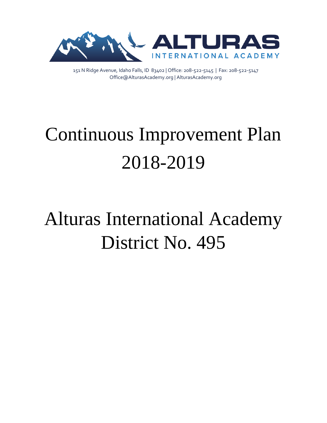

151 N Ridge Avenue, Idaho Falls, ID 83402 | Office: 208-522-5145 | Fax: 208-522-5147 Office@AlturasAcademy.org | AlturasAcademy.org

# Continuous Improvement Plan 2018-2019

# Alturas International Academy District No. 495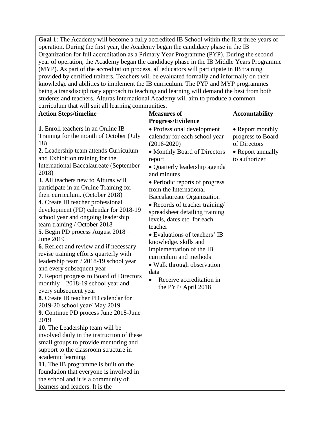**Goal 1**: The Academy will become a fully accredited IB School within the first three years of operation. During the first year, the Academy began the candidacy phase in the IB Organization for full accreditation as a Primary Year Programme (PYP). During the second year of operation, the Academy began the candidacy phase in the IB Middle Years Programme (MYP). As part of the accreditation process, all educators will participate in IB training provided by certified trainers. Teachers will be evaluated formally and informally on their knowledge and abilities to implement the IB curriculum. The PYP and MYP programmes being a transdisciplinary approach to teaching and learning will demand the best from both students and teachers. Alturas International Academy will aim to produce a common curriculum that will suit all learning communities.

| $\alpha$ and $\alpha$ and $\alpha$ and $\alpha$ and $\alpha$ and $\alpha$<br><b>Action Steps/timeline</b>                                                                                                                                                                                                                                                                                                                                                                                                                                                                                                                                                                                                                                                                                                                                                                                                                                                                                                                                                                                                                                                                                                                                                                                                        | <b>Measures of</b>                                                                                                                                                                                                                                                                                                                                                                                                                                                                                                                                                                                            | <b>Accountability</b>                                                                       |
|------------------------------------------------------------------------------------------------------------------------------------------------------------------------------------------------------------------------------------------------------------------------------------------------------------------------------------------------------------------------------------------------------------------------------------------------------------------------------------------------------------------------------------------------------------------------------------------------------------------------------------------------------------------------------------------------------------------------------------------------------------------------------------------------------------------------------------------------------------------------------------------------------------------------------------------------------------------------------------------------------------------------------------------------------------------------------------------------------------------------------------------------------------------------------------------------------------------------------------------------------------------------------------------------------------------|---------------------------------------------------------------------------------------------------------------------------------------------------------------------------------------------------------------------------------------------------------------------------------------------------------------------------------------------------------------------------------------------------------------------------------------------------------------------------------------------------------------------------------------------------------------------------------------------------------------|---------------------------------------------------------------------------------------------|
|                                                                                                                                                                                                                                                                                                                                                                                                                                                                                                                                                                                                                                                                                                                                                                                                                                                                                                                                                                                                                                                                                                                                                                                                                                                                                                                  | <b>Progress/Evidence</b>                                                                                                                                                                                                                                                                                                                                                                                                                                                                                                                                                                                      |                                                                                             |
| 1. Enroll teachers in an Online IB<br>Training for the month of October (July<br>18)<br>2. Leadership team attends Curriculum<br>and Exhibition training for the<br><b>International Baccalaureate (September</b><br>2018)<br>3. All teachers new to Alturas will<br>participate in an Online Training for<br>their curriculum. (October 2018)<br>4. Create IB teacher professional<br>development (PD) calendar for 2018-19<br>school year and ongoing leadership<br>team training / October 2018<br>5. Begin PD process August 2018 -<br>June 2019<br><b>6.</b> Reflect and review and if necessary<br>revise training efforts quarterly with<br>leadership team / 2018-19 school year<br>and every subsequent year<br>7. Report progress to Board of Directors<br>monthly $-2018-19$ school year and<br>every subsequent year<br>8. Create IB teacher PD calendar for<br>2019-20 school year/ May 2019<br>9. Continue PD process June 2018-June<br>2019<br>10. The Leadership team will be<br>involved daily in the instruction of these<br>small groups to provide mentoring and<br>support to the classroom structure in<br>academic learning.<br>11. The IB programme is built on the<br>foundation that everyone is involved in<br>the school and it is a community of<br>learners and leaders. It is the | • Professional development<br>calendar for each school year<br>$(2016 - 2020)$<br>• Monthly Board of Directors<br>report<br>• Quarterly leadership agenda<br>and minutes<br>• Periodic reports of progress<br>from the International<br><b>Baccalaureate Organization</b><br>• Records of teacher training/<br>spreadsheet detailing training<br>levels, dates etc. for each<br>teacher<br>• Evaluations of teachers' IB<br>knowledge. skills and<br>implementation of the IB<br>curriculum and methods<br>• Walk through observation<br>data<br>Receive accreditation in<br>$\bullet$<br>the PYP/ April 2018 | • Report monthly<br>progress to Board<br>of Directors<br>• Report annually<br>to authorizer |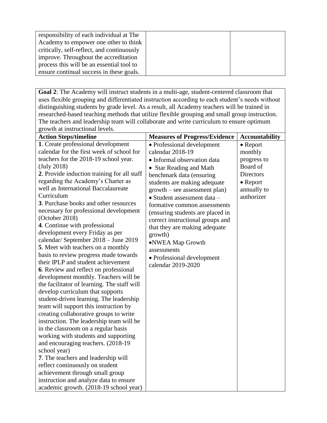| responsibility of each individual at The   |  |
|--------------------------------------------|--|
| Academy to empower one other to think      |  |
| critically, self-reflect, and continuously |  |
| improve. Throughout the accreditation      |  |
| process this will be an essential tool to  |  |
| ensure continual success in these goals.   |  |

**Goal 2**: The Academy will instruct students in a multi-age, student-centered classroom that uses flexible grouping and differentiated instruction according to each student's needs without distinguishing students by grade level. As a result, all Academy teachers will be trained in researched-based teaching methods that utilize flexible grouping and small group instruction. The teachers and leadership team will collaborate and write curriculum to ensure optimum growth at instructional levels.

| <b>Action Steps/timeline</b><br><b>Measures of Progress/Evidence</b> |                                  | <b>Accountability</b> |
|----------------------------------------------------------------------|----------------------------------|-----------------------|
| 1. Create professional development                                   | • Professional development       | $\bullet$ Report      |
| calendar for the first week of school for                            | calendar 2018-19                 | monthly               |
| teachers for the 2018-19 school year.                                | • Informal observation data      | progress to           |
| (July 2018)                                                          | • Star Reading and Math          | Board of              |
| 2. Provide induction training for all staff                          | benchmark data (ensuring         | <b>Directors</b>      |
| regarding the Academy's Charter as                                   | students are making adequate     | $\bullet$ Report      |
| well as International Baccalaureate                                  | $growth - see assessment plan)$  | annually to           |
| Curriculum                                                           | • Student assessment data -      | authorizer            |
| 3. Purchase books and other resources                                | formative common assessments     |                       |
| necessary for professional development                               | (ensuring students are placed in |                       |
| (October 2018)                                                       | correct instructional groups and |                       |
| 4. Continue with professional                                        | that they are making adequate    |                       |
| development every Friday as per                                      | growth)                          |                       |
| calendar/ September 2018 - June 2019                                 | ·NWEA Map Growth                 |                       |
| 5. Meet with teachers on a monthly                                   | assessments                      |                       |
| basis to review progress made towards                                | • Professional development       |                       |
| their IPLP and student achievement                                   | calendar 2019-2020               |                       |
| <b>6.</b> Review and reflect on professional                         |                                  |                       |
| development monthly. Teachers will be                                |                                  |                       |
| the facilitator of learning. The staff will                          |                                  |                       |
| develop curriculum that supports                                     |                                  |                       |
| student-driven learning. The leadership                              |                                  |                       |
| team will support this instruction by                                |                                  |                       |
| creating collaborative groups to write                               |                                  |                       |
| instruction. The leadership team will be                             |                                  |                       |
| in the classroom on a regular basis                                  |                                  |                       |
| working with students and supporting                                 |                                  |                       |
| and encouraging teachers. (2018-19)                                  |                                  |                       |
| school year)                                                         |                                  |                       |
| 7. The teachers and leadership will                                  |                                  |                       |
| reflect continuously on student                                      |                                  |                       |
| achievement through small group                                      |                                  |                       |
| instruction and analyze data to ensure                               |                                  |                       |
| academic growth. (2018-19 school year)                               |                                  |                       |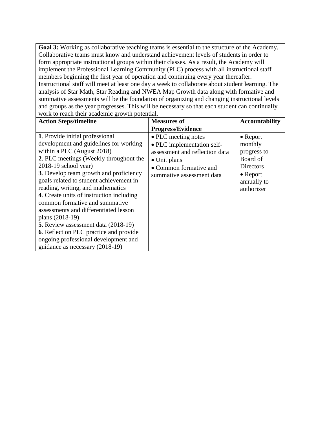**Goal 3:** Working as collaborative teaching teams is essential to the structure of the Academy. Collaborative teams must know and understand achievement levels of students in order to form appropriate instructional groups within their classes. As a result, the Academy will implement the Professional Learning Community (PLC) process with all instructional staff members beginning the first year of operation and continuing every year thereafter. Instructional staff will meet at least one day a week to collaborate about student learning. The analysis of Star Math, Star Reading and NWEA Map Growth data along with formative and summative assessments will be the foundation of organizing and changing instructional levels and groups as the year progresses. This will be necessary so that each student can continually work to reach their academic growth potential.

| <b>Action Steps/timeline</b>                                                                                                                                                                                                                                                                                                                                                                                                                                                                                                                                                                                | <b>Measures of</b>                                                                                                                                         | <b>Accountability</b>                                                                                                |
|-------------------------------------------------------------------------------------------------------------------------------------------------------------------------------------------------------------------------------------------------------------------------------------------------------------------------------------------------------------------------------------------------------------------------------------------------------------------------------------------------------------------------------------------------------------------------------------------------------------|------------------------------------------------------------------------------------------------------------------------------------------------------------|----------------------------------------------------------------------------------------------------------------------|
|                                                                                                                                                                                                                                                                                                                                                                                                                                                                                                                                                                                                             | <b>Progress/Evidence</b>                                                                                                                                   |                                                                                                                      |
| 1. Provide initial professional<br>development and guidelines for working<br>within a PLC (August 2018)<br>2. PLC meetings (Weekly throughout the<br>$2018-19$ school year)<br>3. Develop team growth and proficiency<br>goals related to student achievement in<br>reading, writing, and mathematics<br>4. Create units of instruction including<br>common formative and summative<br>assessments and differentiated lesson<br>plans (2018-19)<br>5. Review assessment data (2018-19)<br>6. Reflect on PLC practice and provide<br>ongoing professional development and<br>guidance as necessary (2018-19) | • PLC meeting notes<br>• PLC implementation self-<br>assessment and reflection data<br>• Unit plans<br>• Common formative and<br>summative assessment data | $\bullet$ Report<br>monthly<br>progress to<br>Board of<br>Directors<br>$\bullet$ Report<br>annually to<br>authorizer |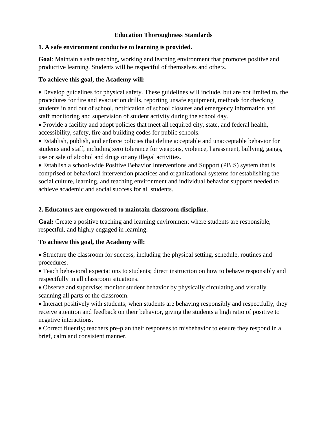# **Education Thoroughness Standards**

# **1. A safe environment conducive to learning is provided.**

**Goal**: Maintain a safe teaching, working and learning environment that promotes positive and productive learning. Students will be respectful of themselves and others.

# **To achieve this goal, the Academy will:**

 Develop guidelines for physical safety. These guidelines will include, but are not limited to, the procedures for fire and evacuation drills, reporting unsafe equipment, methods for checking students in and out of school, notification of school closures and emergency information and staff monitoring and supervision of student activity during the school day.

 Provide a facility and adopt policies that meet all required city, state, and federal health, accessibility, safety, fire and building codes for public schools.

 Establish, publish, and enforce policies that define acceptable and unacceptable behavior for students and staff, including zero tolerance for weapons, violence, harassment, bullying, gangs, use or sale of alcohol and drugs or any illegal activities.

 Establish a school-wide Positive Behavior Interventions and Support (PBIS) system that is comprised of behavioral intervention practices and organizational systems for establishing the social culture, learning, and teaching environment and individual behavior supports needed to achieve academic and social success for all students.

# **2. Educators are empowered to maintain classroom discipline.**

**Goal:** Create a positive teaching and learning environment where students are responsible, respectful, and highly engaged in learning.

# **To achieve this goal, the Academy will:**

 Structure the classroom for success, including the physical setting, schedule, routines and procedures.

 Teach behavioral expectations to students; direct instruction on how to behave responsibly and respectfully in all classroom situations.

 Observe and supervise; monitor student behavior by physically circulating and visually scanning all parts of the classroom.

• Interact positively with students; when students are behaving responsibly and respectfully, they receive attention and feedback on their behavior, giving the students a high ratio of positive to negative interactions.

 Correct fluently; teachers pre-plan their responses to misbehavior to ensure they respond in a brief, calm and consistent manner.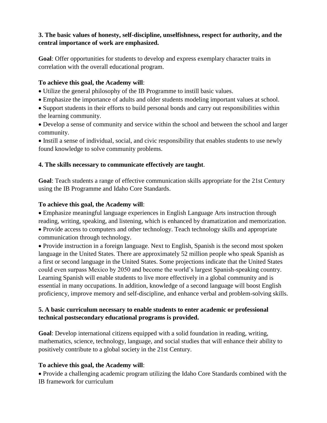# **3. The basic values of honesty, self-discipline, unselfishness, respect for authority, and the central importance of work are emphasized.**

**Goal**: Offer opportunities for students to develop and express exemplary character traits in correlation with the overall educational program.

# **To achieve this goal, the Academy will**:

- Utilize the general philosophy of the IB Programme to instill basic values.
- Emphasize the importance of adults and older students modeling important values at school.

 Support students in their efforts to build personal bonds and carry out responsibilities within the learning community.

 Develop a sense of community and service within the school and between the school and larger community.

 Instill a sense of individual, social, and civic responsibility that enables students to use newly found knowledge to solve community problems.

# **4. The skills necessary to communicate effectively are taught**.

**Goal**: Teach students a range of effective communication skills appropriate for the 21st Century using the IB Programme and Idaho Core Standards.

# **To achieve this goal, the Academy will**:

 Emphasize meaningful language experiences in English Language Arts instruction through reading, writing, speaking, and listening, which is enhanced by dramatization and memorization.

 Provide access to computers and other technology. Teach technology skills and appropriate communication through technology.

• Provide instruction in a foreign language. Next to English, Spanish is the second most spoken language in the United States. There are approximately 52 million people who speak Spanish as a first or second language in the United States. Some projections indicate that the United States could even surpass Mexico by 2050 and become the world's largest Spanish-speaking country. Learning Spanish will enable students to live more effectively in a global community and is essential in many occupations. In addition, knowledge of a second language will boost English proficiency, improve memory and self-discipline, and enhance verbal and problem-solving skills.

# **5. A basic curriculum necessary to enable students to enter academic or professional technical postsecondary educational programs is provided.**

**Goal**: Develop international citizens equipped with a solid foundation in reading, writing, mathematics, science, technology, language, and social studies that will enhance their ability to positively contribute to a global society in the 21st Century.

# **To achieve this goal, the Academy will**:

 Provide a challenging academic program utilizing the Idaho Core Standards combined with the IB framework for curriculum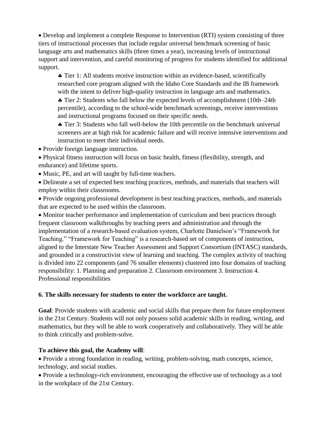Develop and implement a complete Response to Intervention (RTI) system consisting of three tiers of instructional processes that include regular universal benchmark screening of basic language arts and mathematics skills (three times a year), increasing levels of instructional support and intervention, and careful monitoring of progress for students identified for additional support.

 Tier 1: All students receive instruction within an evidence-based, scientifically researched core program aligned with the Idaho Core Standards and the IB framework with the intent to deliver high-quality instruction in language arts and mathematics.

 Tier 2: Students who fall below the expected levels of accomplishment (10th–24th percentile), according to the school-wide benchmark screenings, receive interventions and instructional programs focused on their specific needs.

 Tier 3: Students who fall well-below the 10th percentile on the benchmark universal screeners are at high risk for academic failure and will receive intensive interventions and instruction to meet their individual needs.

• Provide foreign language instruction.

 Physical fitness instruction will focus on basic health, fitness (flexibility, strength, and endurance) and lifetime sports.

• Music, PE, and art will taught by full-time teachers.

 Delineate a set of expected best teaching practices, methods, and materials that teachers will employ within their classrooms.

 Provide ongoing professional development in best teaching practices, methods, and materials that are expected to be used within the classroom.

 Monitor teacher performance and implementation of curriculum and best practices through frequent classroom walkthroughs by teaching peers and administration and through the implementation of a research-based evaluation system, Charlotte Danielson's "Framework for Teaching." "Framework for Teaching" is a research-based set of components of instruction, aligned to the Interstate New Teacher Assessment and Support Consortium (INTASC) standards, and grounded in a constructivist view of learning and teaching. The complex activity of teaching is divided into 22 components (and 76 smaller elements) clustered into four domains of teaching responsibility: 1. Planning and preparation 2. Classroom environment 3. Instruction 4. Professional responsibilities

# **6. The skills necessary for students to enter the workforce are taught.**

**Goal**: Provide students with academic and social skills that prepare them for future employment in the 21st Century. Students will not only possess solid academic skills in reading, writing, and mathematics, but they will be able to work cooperatively and collaboratively. They will be able to think critically and problem-solve.

# **To achieve this goal, the Academy will**:

 Provide a strong foundation in reading, writing, problem-solving, math concepts, science, technology, and social studies.

 Provide a technology-rich environment, encouraging the effective use of technology as a tool in the workplace of the 21st Century.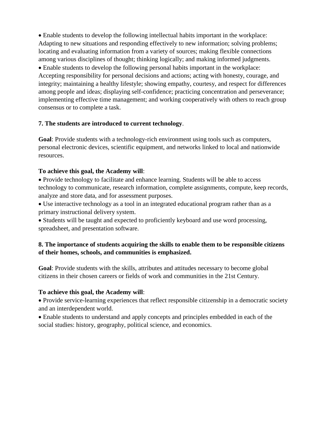Enable students to develop the following intellectual habits important in the workplace: Adapting to new situations and responding effectively to new information; solving problems; locating and evaluating information from a variety of sources; making flexible connections among various disciplines of thought; thinking logically; and making informed judgments. Enable students to develop the following personal habits important in the workplace: Accepting responsibility for personal decisions and actions; acting with honesty, courage, and integrity; maintaining a healthy lifestyle; showing empathy, courtesy, and respect for differences among people and ideas; displaying self-confidence; practicing concentration and perseverance; implementing effective time management; and working cooperatively with others to reach group consensus or to complete a task.

# **7. The students are introduced to current technology**.

**Goal**: Provide students with a technology-rich environment using tools such as computers, personal electronic devices, scientific equipment, and networks linked to local and nationwide resources.

# **To achieve this goal, the Academy will**:

 Provide technology to facilitate and enhance learning. Students will be able to access technology to communicate, research information, complete assignments, compute, keep records, analyze and store data, and for assessment purposes.

 Use interactive technology as a tool in an integrated educational program rather than as a primary instructional delivery system.

• Students will be taught and expected to proficiently keyboard and use word processing, spreadsheet, and presentation software.

# **8. The importance of students acquiring the skills to enable them to be responsible citizens of their homes, schools, and communities is emphasized.**

**Goal**: Provide students with the skills, attributes and attitudes necessary to become global citizens in their chosen careers or fields of work and communities in the 21st Century.

# **To achieve this goal, the Academy will**:

 Provide service-learning experiences that reflect responsible citizenship in a democratic society and an interdependent world.

 Enable students to understand and apply concepts and principles embedded in each of the social studies: history, geography, political science, and economics.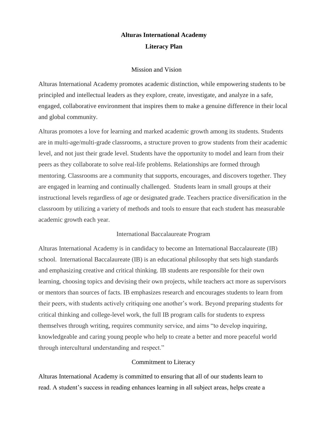# **Alturas International Academy Literacy Plan**

# Mission and Vision

Alturas International Academy promotes academic distinction, while empowering students to be principled and intellectual leaders as they explore, create, investigate, and analyze in a safe, engaged, collaborative environment that inspires them to make a genuine difference in their local and global community.

Alturas promotes a love for learning and marked academic growth among its students. Students are in multi-age/multi-grade classrooms, a structure proven to grow students from their academic level, and not just their grade level. Students have the opportunity to model and learn from their peers as they collaborate to solve real-life problems. Relationships are formed through mentoring. Classrooms are a community that supports, encourages, and discovers together. They are engaged in learning and continually challenged. Students learn in small groups at their instructional levels regardless of age or designated grade. Teachers practice diversification in the classroom by utilizing a variety of methods and tools to ensure that each student has measurable academic growth each year.

# International Baccalaureate Program

Alturas International Academy is in candidacy to become an International Baccalaureate (IB) school. International Baccalaureate (IB) is an educational philosophy that sets high standards and emphasizing creative and critical thinking. IB students are responsible for their own learning, choosing topics and devising their own projects, while teachers act more as supervisors or mentors than sources of facts. IB emphasizes research and encourages students to learn from their peers, with students actively critiquing one another's work. Beyond preparing students for critical thinking and college-level work, the full IB program calls for students to express themselves through writing, requires community service, and aims "to develop inquiring, knowledgeable and caring young people who help to create a better and more peaceful world through intercultural understanding and respect."

# Commitment to Literacy

Alturas International Academy is committed to ensuring that all of our students learn to read. A student's success in reading enhances learning in all subject areas, helps create a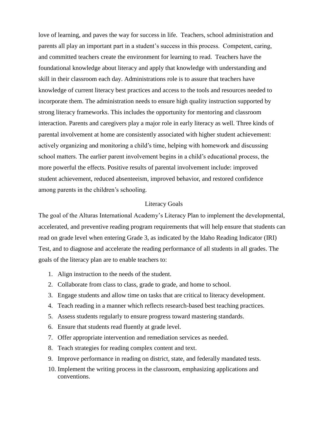love of learning, and paves the way for success in life. Teachers, school administration and parents all play an important part in a student's success in this process. Competent, caring, and committed teachers create the environment for learning to read. Teachers have the foundational knowledge about literacy and apply that knowledge with understanding and skill in their classroom each day. Administrations role is to assure that teachers have knowledge of current literacy best practices and access to the tools and resources needed to incorporate them. The administration needs to ensure high quality instruction supported by strong literacy frameworks. This includes the opportunity for mentoring and classroom interaction. Parents and caregivers play a major role in early literacy as well. Three kinds of parental involvement at home are consistently associated with higher student achievement: actively organizing and monitoring a child's time, helping with homework and discussing school matters. The earlier parent involvement begins in a child's educational process, the more powerful the effects. Positive results of parental involvement include: improved student achievement, reduced absenteeism, improved behavior, and restored confidence among parents in the children's schooling.

# Literacy Goals

The goal of the Alturas International Academy's Literacy Plan to implement the developmental, accelerated, and preventive reading program requirements that will help ensure that students can read on grade level when entering Grade 3, as indicated by the Idaho Reading Indicator (IRI) Test, and to diagnose and accelerate the reading performance of all students in all grades. The goals of the literacy plan are to enable teachers to:

- 1. Align instruction to the needs of the student.
- 2. Collaborate from class to class, grade to grade, and home to school.
- 3. Engage students and allow time on tasks that are critical to literacy development.
- 4. Teach reading in a manner which reflects research-based best teaching practices.
- 5. Assess students regularly to ensure progress toward mastering standards.
- 6. Ensure that students read fluently at grade level.
- 7. Offer appropriate intervention and remediation services as needed.
- 8. Teach strategies for reading complex content and text.
- 9. Improve performance in reading on district, state, and federally mandated tests.
- 10. Implement the writing process in the classroom, emphasizing applications and conventions.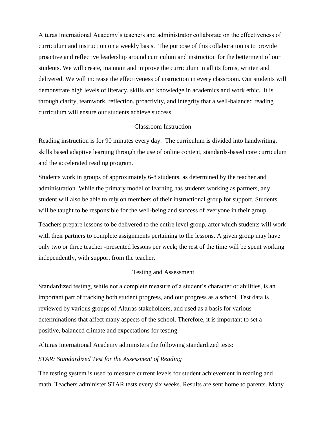Alturas International Academy's teachers and administrator collaborate on the effectiveness of curriculum and instruction on a weekly basis. The purpose of this collaboration is to provide proactive and reflective leadership around curriculum and instruction for the betterment of our students. We will create, maintain and improve the curriculum in all its forms, written and delivered. We will increase the effectiveness of instruction in every classroom. Our students will demonstrate high levels of literacy, skills and knowledge in academics and work ethic. It is through clarity, teamwork, reflection, proactivity, and integrity that a well-balanced reading curriculum will ensure our students achieve success.

# Classroom Instruction

Reading instruction is for 90 minutes every day. The curriculum is divided into handwriting, skills based adaptive learning through the use of online content, standards-based core curriculum and the accelerated reading program.

Students work in groups of approximately 6-8 students, as determined by the teacher and administration. While the primary model of learning has students working as partners, any student will also be able to rely on members of their instructional group for support. Students will be taught to be responsible for the well-being and success of everyone in their group.

Teachers prepare lessons to be delivered to the entire level group, after which students will work with their partners to complete assignments pertaining to the lessons. A given group may have only two or three teacher -presented lessons per week; the rest of the time will be spent working independently, with support from the teacher.

# Testing and Assessment

Standardized testing, while not a complete measure of a student's character or abilities, is an important part of tracking both student progress, and our progress as a school. Test data is reviewed by various groups of Alturas stakeholders, and used as a basis for various determinations that affect many aspects of the school. Therefore, it is important to set a positive, balanced climate and expectations for testing.

Alturas International Academy administers the following standardized tests:

# *STAR: Standardized Test for the Assessment of Reading*

The testing system is used to measure current levels for student achievement in reading and math. Teachers administer STAR tests every six weeks. Results are sent home to parents. Many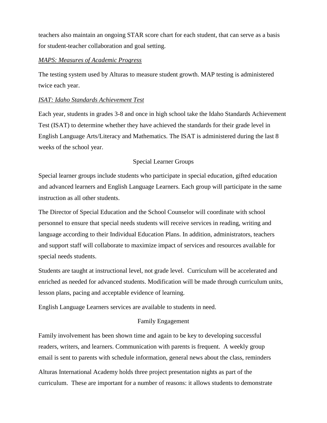teachers also maintain an ongoing STAR score chart for each student, that can serve as a basis for student-teacher collaboration and goal setting.

# *MAPS: Measures of Academic Progress*

The testing system used by Alturas to measure student growth. MAP testing is administered twice each year.

# *ISAT: Idaho Standards Achievement Test*

Each year, students in grades 3-8 and once in high school take the Idaho Standards Achievement Test (ISAT) to determine whether they have achieved the standards for their grade level in English Language Arts/Literacy and Mathematics. The ISAT is administered during the last 8 weeks of the school year.

# Special Learner Groups

Special learner groups include students who participate in special education, gifted education and advanced learners and English Language Learners. Each group will participate in the same instruction as all other students.

The Director of Special Education and the School Counselor will coordinate with school personnel to ensure that special needs students will receive services in reading, writing and language according to their Individual Education Plans. In addition, administrators, teachers and support staff will collaborate to maximize impact of services and resources available for special needs students.

Students are taught at instructional level, not grade level. Curriculum will be accelerated and enriched as needed for advanced students. Modification will be made through curriculum units, lesson plans, pacing and acceptable evidence of learning.

English Language Learners services are available to students in need.

# Family Engagement

Family involvement has been shown time and again to be key to developing successful readers, writers, and learners. Communication with parents is frequent. A weekly group email is sent to parents with schedule information, general news about the class, reminders

Alturas International Academy holds three project presentation nights as part of the curriculum. These are important for a number of reasons: it allows students to demonstrate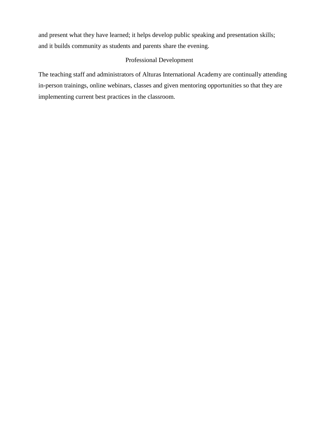and present what they have learned; it helps develop public speaking and presentation skills; and it builds community as students and parents share the evening.

# Professional Development

The teaching staff and administrators of Alturas International Academy are continually attending in-person trainings, online webinars, classes and given mentoring opportunities so that they are implementing current best practices in the classroom.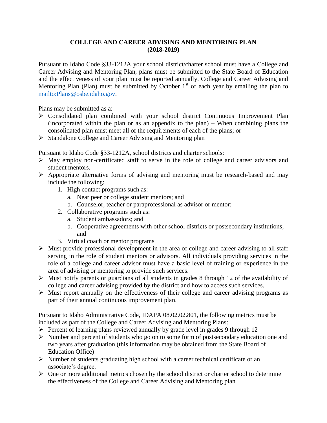# **COLLEGE AND CAREER ADVISING AND MENTORING PLAN (2018-2019)**

Pursuant to Idaho Code §33-1212A your school district/charter school must have a College and Career Advising and Mentoring Plan, plans must be submitted to the State Board of Education and the effectiveness of your plan must be reported annually. College and Career Advising and Mentoring Plan (Plan) must be submitted by October  $1<sup>st</sup>$  of each year by emailing the plan to [mailto:Plans@osbe.idaho.gov.](mailto:Plans@osbe.idaho.gov)

Plans may be submitted as a:

- Consolidated plan combined with your school district Continuous Improvement Plan (incorporated within the plan or as an appendix to the plan) – When combining plans the consolidated plan must meet all of the requirements of each of the plans; or
- $\triangleright$  Standalone College and Career Advising and Mentoring plan

Pursuant to Idaho Code §33-1212A, school districts and charter schools:

- $\triangleright$  May employ non-certificated staff to serve in the role of college and career advisors and student mentors.
- $\triangleright$  Appropriate alternative forms of advising and mentoring must be research-based and may include the following:
	- 1. High contact programs such as:
		- a. Near peer or college student mentors; and
		- b. Counselor, teacher or paraprofessional as advisor or mentor;
	- 2. Collaborative programs such as:
		- a. Student ambassadors; and
		- b. Cooperative agreements with other school districts or postsecondary institutions; and
	- 3. Virtual coach or mentor programs
- $\triangleright$  Must provide professional development in the area of college and career advising to all staff serving in the role of student mentors or advisors. All individuals providing services in the role of a college and career advisor must have a basic level of training or experience in the area of advising or mentoring to provide such services.
- $\triangleright$  Must notify parents or guardians of all students in grades 8 through 12 of the availability of college and career advising provided by the district and how to access such services.
- $\triangleright$  Must report annually on the effectiveness of their college and career advising programs as part of their annual continuous improvement plan.

Pursuant to Idaho Administrative Code, IDAPA 08.02.02.801, the following metrics must be included as part of the College and Career Advising and Mentoring Plans:

- $\triangleright$  Percent of learning plans reviewed annually by grade level in grades 9 through 12
- $\triangleright$  Number and percent of students who go on to some form of postsecondary education one and two years after graduation (this information may be obtained from the State Board of Education Office)
- $\triangleright$  Number of students graduating high school with a career technical certificate or an associate's degree.
- $\triangleright$  One or more additional metrics chosen by the school district or charter school to determine the effectiveness of the College and Career Advising and Mentoring plan